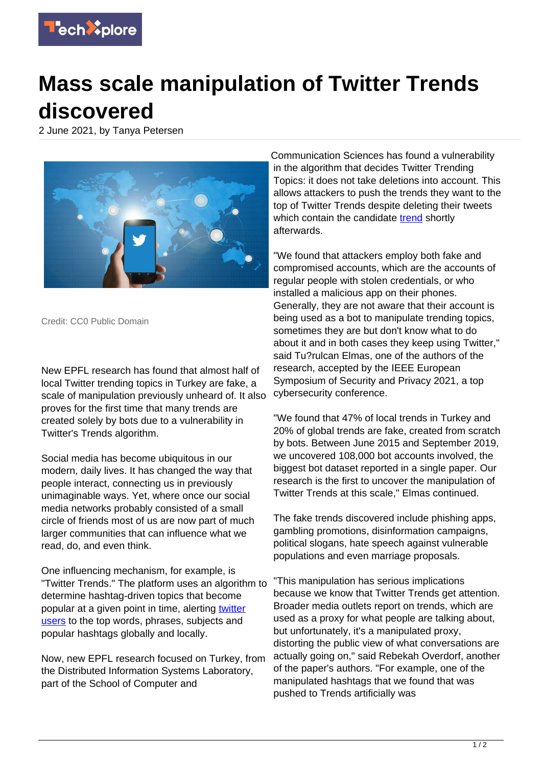

## **Mass scale manipulation of Twitter Trends discovered**

2 June 2021, by Tanya Petersen



Credit: CC0 Public Domain

New EPFL research has found that almost half of local Twitter trending topics in Turkey are fake, a scale of manipulation previously unheard of. It also proves for the first time that many trends are created solely by bots due to a vulnerability in Twitter's Trends algorithm.

Social media has become ubiquitous in our modern, daily lives. It has changed the way that people interact, connecting us in previously unimaginable ways. Yet, where once our social media networks probably consisted of a small circle of friends most of us are now part of much larger communities that can influence what we read, do, and even think.

One influencing mechanism, for example, is "Twitter Trends." The platform uses an algorithm to determine hashtag-driven topics that become popular at a given point in time, alerting [twitter](https://techxplore.com/tags/twitter+users/) [users](https://techxplore.com/tags/twitter+users/) to the top words, phrases, subjects and popular hashtags globally and locally.

Now, new EPFL research focused on Turkey, from the Distributed Information Systems Laboratory, part of the School of Computer and

Communication Sciences has found a vulnerability in the algorithm that decides Twitter Trending Topics: it does not take deletions into account. This allows attackers to push the trends they want to the top of Twitter Trends despite deleting their tweets which contain the candidate [trend](https://techxplore.com/tags/trend/) shortly afterwards.

"We found that attackers employ both fake and compromised accounts, which are the accounts of regular people with stolen credentials, or who installed a malicious app on their phones. Generally, they are not aware that their account is being used as a bot to manipulate trending topics, sometimes they are but don't know what to do about it and in both cases they keep using Twitter," said Tu?rulcan Elmas, one of the authors of the research, accepted by the IEEE European Symposium of Security and Privacy 2021, a top cybersecurity conference.

"We found that 47% of local trends in Turkey and 20% of global trends are fake, created from scratch by bots. Between June 2015 and September 2019, we uncovered 108,000 bot accounts involved, the biggest bot dataset reported in a single paper. Our research is the first to uncover the manipulation of Twitter Trends at this scale," Elmas continued.

The fake trends discovered include phishing apps, gambling promotions, disinformation campaigns, political slogans, hate speech against vulnerable populations and even marriage proposals.

"This manipulation has serious implications because we know that Twitter Trends get attention. Broader media outlets report on trends, which are used as a proxy for what people are talking about, but unfortunately, it's a manipulated proxy, distorting the public view of what conversations are actually going on," said Rebekah Overdorf, another of the paper's authors. "For example, one of the manipulated hashtags that we found that was pushed to Trends artificially was